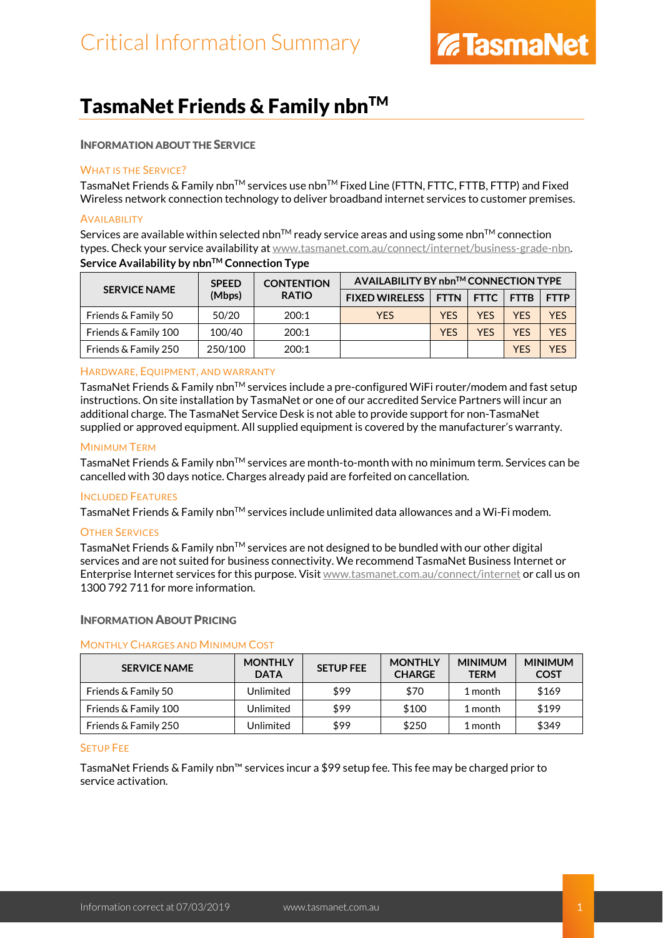### TasmaNet Friends & Family nbn™

### INFORMATION ABOUT THE SERVICE

### WHAT IS THE SERVICE?

TasmaNet Friends & Family nbn™ services use nbn™ Fixed Line (FTTN, FTTC, FTTB, FTTP) and Fixed Wireless network connection technology to deliver broadband internet services to customer premises.

### **AVAILABILITY**

Services are available within selected nbn<sup>TM</sup> ready service areas and using some nbn<sup>TM</sup> connection types. Check your service availability a[t www.tasmanet.com.au/connect/internet/business-grade-nbn.](http://www.tasmanet.com.au/connect/internet/business-grade-nbn) **Service Availability by nbn™ Connection Type** 

| <b>SERVICE NAME</b>  | <b>SPEED</b><br>(Mbps) | <b>CONTENTION</b><br><b>RATIO</b> | AVAILABILITY BY nbn™ CONNECTION TYPE |            |             |             |             |
|----------------------|------------------------|-----------------------------------|--------------------------------------|------------|-------------|-------------|-------------|
|                      |                        |                                   | <b>FIXED WIRELESS</b>                | FTTN       | <b>FTTC</b> | <b>FTTB</b> | <b>FTTP</b> |
| Friends & Family 50  | 50/20                  | 200:1                             | <b>YES</b>                           | <b>YES</b> | <b>YFS</b>  | <b>YFS</b>  | <b>YES</b>  |
| Friends & Family 100 | 100/40                 | 200:1                             |                                      | <b>YES</b> | <b>YES</b>  | <b>YES</b>  | <b>YES</b>  |
| Friends & Family 250 | 250/100                | 200:1                             |                                      |            |             | YES         | <b>YFS</b>  |

### HARDWARE, EQUIPMENT, AND WARRANTY

TasmaNet Friends & Family nbn<sup>TM</sup> services include a pre-configured WiFi router/modem and fast setup instructions. On site installation by TasmaNet or one of our accredited Service Partners will incur an additional charge. The TasmaNet Service Desk is not able to provide support for non-TasmaNet supplied or approved equipment. All supplied equipment is covered by the manufacturer's warranty.

### MINIMUM TERM

TasmaNet Friends & Family nbn™ services are month-to-month with no minimum term. Services can be cancelled with 30 days notice. Charges already paid are forfeited on cancellation.

### INCLUDED FEATURES

TasmaNet Friends & Family nbn<sup>TM</sup> services include unlimited data allowances and a Wi-Fi modem.

### OTHER SERVICES

TasmaNet Friends & Family nbn<sup>TM</sup> services are not designed to be bundled with our other digital services and are not suited for business connectivity. We recommend TasmaNet Business Internet or Enterprise Internet services for this purpose. Visi[t www.tasmanet.com.au/connect/internet](https://www.tasmanet.com.au/connect/internet) or call us on 1300 792 711 for more information.

### INFORMATION ABOUT PRICING

### MONTHLY CHARGES AND MINIMUM COST

| <b>SERVICE NAME</b>  | <b>MONTHLY</b><br><b>DATA</b> | <b>SETUP FEE</b> | <b>MONTHLY</b><br><b>CHARGE</b> | <b>MINIMUM</b><br><b>TERM</b> | <b>MINIMUM</b><br><b>COST</b> |
|----------------------|-------------------------------|------------------|---------------------------------|-------------------------------|-------------------------------|
| Friends & Family 50  | Unlimited                     | \$99             | \$70                            | 1 month                       | \$169                         |
| Friends & Family 100 | Unlimited                     | \$99             | \$100                           | 1 month                       | \$199                         |
| Friends & Family 250 | Unlimited                     | \$99             | \$250                           | 1 month                       | \$349                         |

#### SETUP FEE

TasmaNet Friends & Family nbn™ services incur a \$99 setup fee. This fee may be charged prior to service activation.